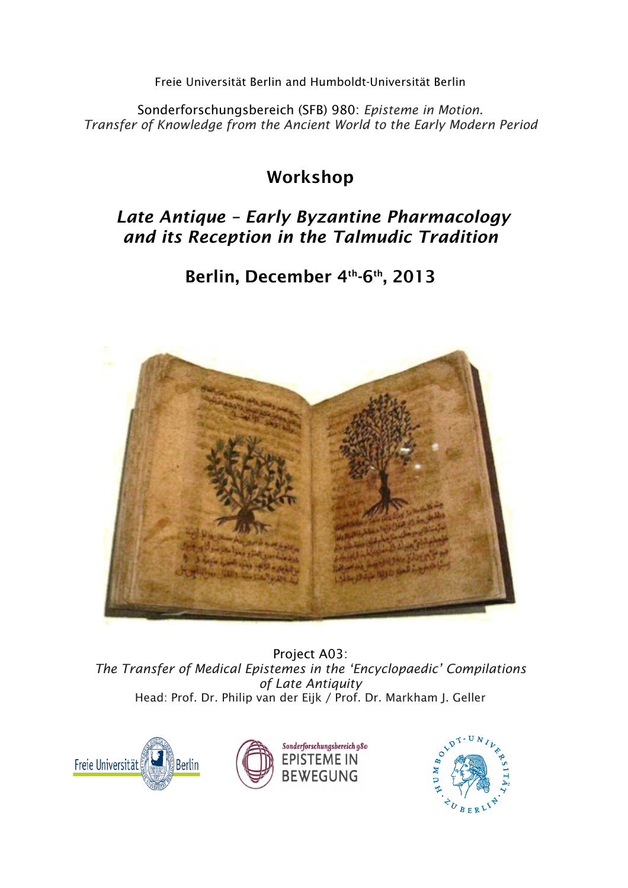Freie Universität Berlin and Humboldt-Universität Berlin

Sonderforschungsbereich (SFB) 980: *Episteme in Motion. Transfer of Knowledge from the Ancient World to the Early Modern Period*

# Workshop

# *Late Antique – Early Byzantine Pharmacology and its Reception in the Talmudic Tradition*

# Berlin, December 4th-6th, 2013



Project A03: *The Transfer of Medical Epistemes in the 'Encyclopaedic' Compilations of Late Antiquity* Head: Prof. Dr. Philip van der Eijk / Prof. Dr. Markham J. Geller





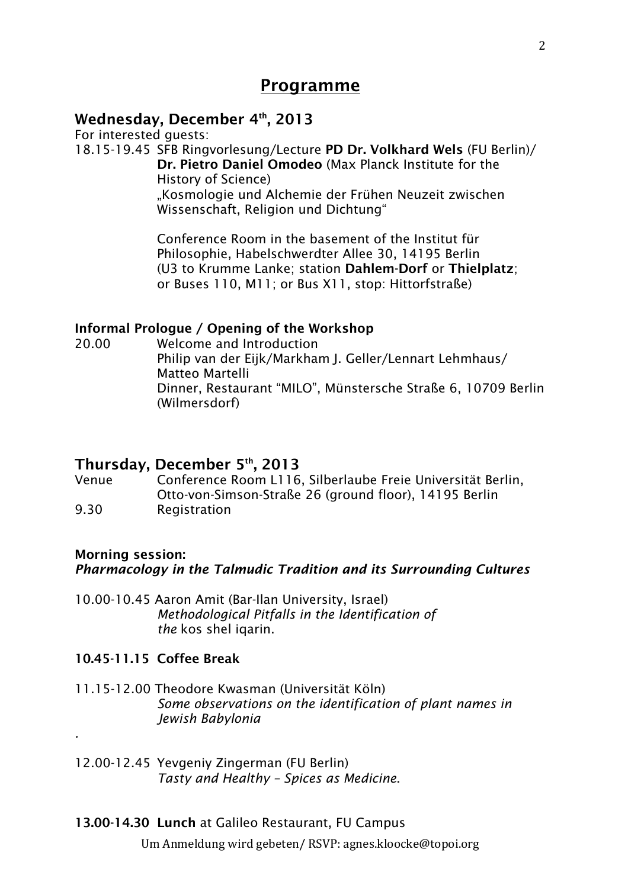# Programme

# Wednesday, December 4th, 2013

For interested guests:

18.15-19.45 SFB Ringvorlesung/Lecture PD Dr. Volkhard Wels (FU Berlin)/ Dr. Pietro Daniel Omodeo (Max Planck Institute for the History of Science) "Kosmologie und Alchemie der Frühen Neuzeit zwischen Wissenschaft, Religion und Dichtung"

> Conference Room in the basement of the Institut für Philosophie, Habelschwerdter Allee 30, 14195 Berlin (U3 to Krumme Lanke; station Dahlem-Dorf or Thielplatz; or Buses 110, M11; or Bus X11, stop: Hittorfstraße)

## Informal Prologue / Opening of the Workshop

20.00 Welcome and Introduction Philip van der Eijk/Markham J. Geller/Lennart Lehmhaus/ Matteo Martelli Dinner, Restaurant "MILO", Münstersche Straße 6, 10709 Berlin (Wilmersdorf)

## Thursday, December 5th, 2013

Venue Conference Room L116, Silberlaube Freie Universität Berlin, Otto-von-Simson-Straße 26 (ground floor), 14195 Berlin 9.30 Registration

## Morning session:

*.*

*Pharmacology in the Talmudic Tradition and its Surrounding Cultures*

10.00-10.45 Aaron Amit (Bar-Ilan University, Israel) *Methodological Pitfalls in the Identification of the* kos shel *jaarin*.

### 10.45-11.15 Coffee Break

11.15-12.00 Theodore Kwasman (Universität Köln) *Some observations on the identification of plant names in Jewish Babylonia*

12.00-12.45 Yevgeniy Zingerman (FU Berlin) *Tasty and Healthy – Spices as Medicine*.

### 13.00-14.30 Lunch at Galileo Restaurant, FU Campus

Um Anmeldung wird gebeten/ RSVP: agnes.kloocke@topoi.org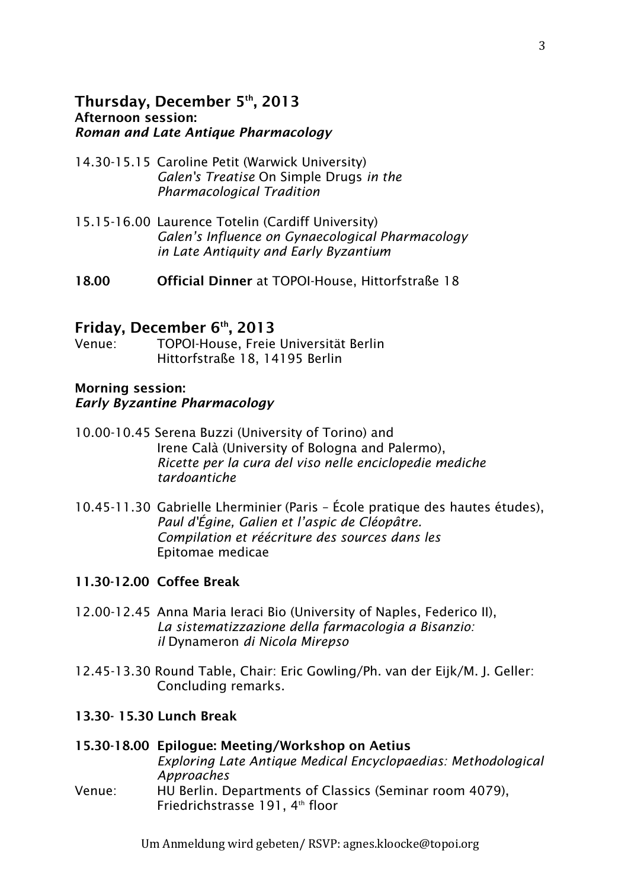#### Thursday, December 5th, 2013 Afternoon session: *Roman and Late Antique Pharmacology*

- 14.30-15.15 Caroline Petit (Warwick University) *Galen's Treatise* On Simple Drugs *in the Pharmacological Tradition*
- 15.15-16.00 Laurence Totelin (Cardiff University) *Galen's Influence on Gynaecological Pharmacology in Late Antiquity and Early Byzantium*
- 18.00 Official Dinner at TOPOI-House, Hittorfstraße 18

#### Friday, December  $6<sup>th</sup>$ , 2013

Venue: TOPOI-House, Freie Universität Berlin Hittorfstraße 18, 14195 Berlin

#### Morning session: *Early Byzantine Pharmacology*

- 10.00-10.45 Serena Buzzi (University of Torino) and Irene Calà (University of Bologna and Palermo), *Ricette per la cura del viso nelle enciclopedie mediche tardoantiche*
- 10.45-11.30 Gabrielle Lherminier (Paris École pratique des hautes études), *Paul d'Égine, Galien et l'aspic de Cléopâtre. Compilation et réécriture des sources dans les*  Epitomae medicae

#### 11.30-12.00 Coffee Break

- 12.00-12.45 Anna Maria Ieraci Bio (University of Naples, Federico II), *La sistematizzazione della farmacologia a Bisanzio: il* Dynameron *di Nicola Mirepso*
- 12.45-13.30 Round Table, Chair: Eric Gowling/Ph. van der Eijk/M. J. Geller: Concluding remarks.

#### 13.30- 15.30 Lunch Break

#### 15.30-18.00 Epilogue: Meeting/Workshop on Aetius *Exploring Late Antique Medical Encyclopaedias: Methodological Approaches* Venue: HU Berlin. Departments of Classics (Seminar room 4079), Friedrichstrasse 191, 4<sup>th</sup> floor